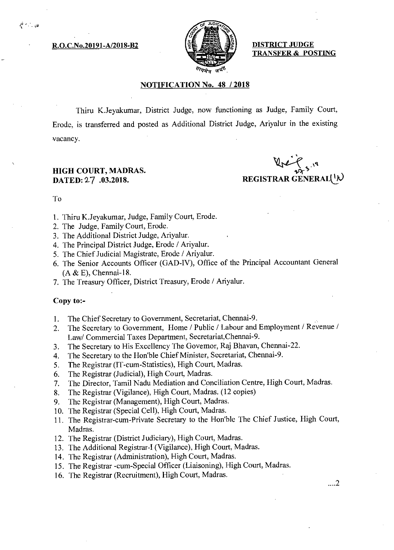R.O.C.No.20191-A/2018-B2  $\left[\frac{5}{2} \right]$  DISTRICT JUDGE



TRANSFER & POSTING

## NOTIFICATION No. 48 / 2018

Thiru K.Jeyakumar, District Judge, now functioning as Judge, Family Court, Erode, is transferred and posted as Additional District Judge, Ariyalur in the existing vacancy.

# HIGH COURT, MADRAS.

 $44$ DATED: 27 .03.2018. REGISTRAR GENERAL( $\psi$ )

To

ਵੀ ≙ਾਡ

- 1. Thiru K.Jeyakumar, Judge, Family Court, Erode.
- 2. The Judge, Family Court, Erode.
- 3. The Additional District Judge, Ariyalur.
- 4. The Principal District Judge, Erode / Ariyalur.
- 5. The Chief Judicial Magistrate, Erode / Ariyalur.
- 6. The Senior Accounts Officer (GAD-IV), Office of the Principal Accountant General  $(A & E)$ , Chennai-18.
- 7. The Treasury Officer, District Treasury, Erode / Ariyalur.

#### Copy to:-

- 1. The Chief Secretary to Government, Secretariat, Chennai-9.
- 2. The Secretary to Government, Home / Public / Labour and Employment / Revenue / Law/ Commercial Taxes Department, Secretariat,Chennai-9.
- 3. The Secretary to His Excellency The Governor, Raj Bhavan, Chennai-22.
- 4. The Secretary to the Hon'ble Chief Minister, Secretariat, Chennai-9.
- 5. The Registrar (IT-cum-Statistics), High Court, Madras.
- 6. The Registrar (Judicial), High Court, Madras.
- 7. The Director, Tamil Nadu Mediation and Conciliation Centre, High Court, Madras.
- 8. The Registrar (Vigilance), High Court, Madras. (12 copies)
- 9. The Registrar (Management), High Court, Madras.
- 10. The Registrar (Special Cell), High Court, Madras.
- 11. The Registrar-cum-Private Secretary to the Hon'ble The Chief Justice, High Court, Madras.
- 12. The Registrar (District Judiciary), High Court, Madras.
- 13. The Additional Registrar-I (Vigilance), High Court, Madras.
- 14. The Registrar (Administration), High Court, Madras.
- 15. The Registrar -cum-Special Officer (Liaisoning), High Court, Madras.
- 16. The Registrar (Recruitment), High Court, Madras.

...2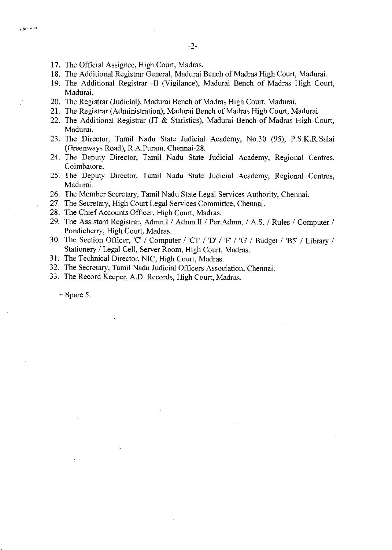- 17. The Official Assignee, High Court, Madras.
- 18. The Additional Registrar General, Madurai Bench of Madras High Court, Madurai.
- 19. The Additional Registrar -II (Vigilance), Madurai Bench of Madras High Court, Madurai.
- 20. The Registrar (Judicial), Madurai Bench of Madras High Court, Madurai.
- 21. The Registrar (Administration), Madurai Bench of Madras High Court, Madurai.
- 22. The Additional Registrar (IT & Statistics), Madurai Bench of Madras High Court, Madurai.
- 23. The Director, Tamil Nadu State Judicial Academy, No.30 (95), P.S.K.R.Salai (Greenways Road), R.A.Puram, Chennai-28.
- 24. The Deputy Director, Tamil Nadu State Judicial Academy, Regional Centres, Coimbatore.
- 25. The Deputy Director, Tamil Nadu State Judicial Academy, Regional Centres, Madurai.
- 26. The Member Secretary, Tamil Nadu State Legal Services Authority, Chennai.
- 27. The Secretary, High Court Legal Services Committee, Chennai.
- 28. The Chief Accounts Officer, High Court, Madras.
- 29. The Assistant Registrar, Admn.I / Admn.II / Per.Admn. / A.S. / Rules / Computer / Pondicherry, High Court, Madras.
- 30. The Section Officer, 'C' / Computer / 'Cl' / 'D' / 'F' / 'G' / Budget / 'B5' / Library / Stationery / Legal Cell, Server Room, High Court, Madras.
- 31. The Technical Director, NIC, High Court, Madras.
- 32. The Secretary, Tamil Nadu Judicial Officers Association, Chennai.
- 33. The Record Keeper, A.D. Records, High Court, Madras.

 $+$  Spare 5.